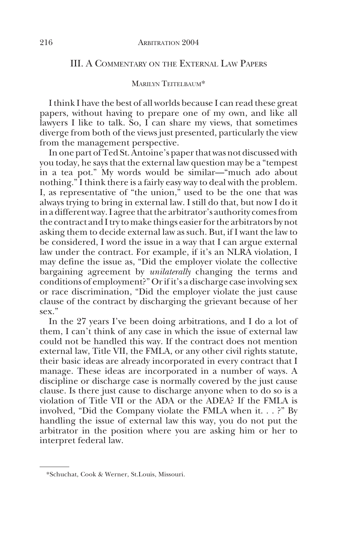## III. A COMMENTARY ON THE EXTERNAL LAW PAPERS

## MARILYN TEITELBAUM\*

I think I have the best of all worlds because I can read these great papers, without having to prepare one of my own, and like all lawyers I like to talk. So, I can share my views, that sometimes diverge from both of the views just presented, particularly the view from the management perspective.

In one part of Ted St. Antoine's paper that was not discussed with you today, he says that the external law question may be a "tempest in a tea pot." My words would be similar—"much ado about nothing." I think there is a fairly easy way to deal with the problem. I, as representative of "the union," used to be the one that was always trying to bring in external law. I still do that, but now I do it in a different way. I agree that the arbitrator's authority comes from the contract and I try to make things easier for the arbitrators by not asking them to decide external law as such. But, if I want the law to be considered, I word the issue in a way that I can argue external law under the contract. For example, if it's an NLRA violation, I may define the issue as, "Did the employer violate the collective bargaining agreement by *unilaterally* changing the terms and conditions of employment?" Or if it's a discharge case involving sex or race discrimination, "Did the employer violate the just cause clause of the contract by discharging the grievant because of her sex."

In the 27 years I've been doing arbitrations, and I do a lot of them, I can't think of any case in which the issue of external law could not be handled this way. If the contract does not mention external law, Title VII, the FMLA, or any other civil rights statute, their basic ideas are already incorporated in every contract that I manage. These ideas are incorporated in a number of ways. A discipline or discharge case is normally covered by the just cause clause. Is there just cause to discharge anyone when to do so is a violation of Title VII or the ADA or the ADEA? If the FMLA is involved, "Did the Company violate the FMLA when it. . . ?" By handling the issue of external law this way, you do not put the arbitrator in the position where you are asking him or her to interpret federal law.

<sup>\*</sup>Schuchat, Cook & Werner, St.Louis, Missouri.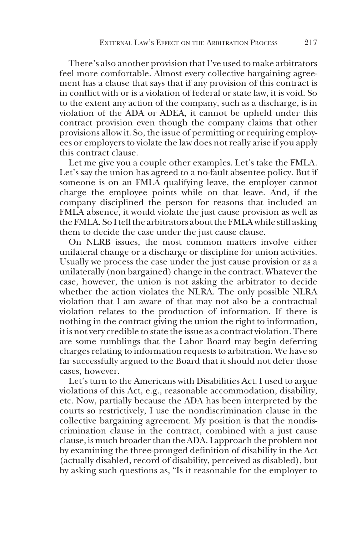There's also another provision that I've used to make arbitrators feel more comfortable. Almost every collective bargaining agreement has a clause that says that if any provision of this contract is in conflict with or is a violation of federal or state law, it is void. So to the extent any action of the company, such as a discharge, is in violation of the ADA or ADEA, it cannot be upheld under this contract provision even though the company claims that other provisions allow it. So, the issue of permitting or requiring employees or employers to violate the law does not really arise if you apply this contract clause.

Let me give you a couple other examples. Let's take the FMLA. Let's say the union has agreed to a no-fault absentee policy. But if someone is on an FMLA qualifying leave, the employer cannot charge the employee points while on that leave. And, if the company disciplined the person for reasons that included an FMLA absence, it would violate the just cause provision as well as the FMLA. So I tell the arbitrators about the FMLA while still asking them to decide the case under the just cause clause.

On NLRB issues, the most common matters involve either unilateral change or a discharge or discipline for union activities. Usually we process the case under the just cause provision or as a unilaterally (non bargained) change in the contract. Whatever the case, however, the union is not asking the arbitrator to decide whether the action violates the NLRA. The only possible NLRA violation that I am aware of that may not also be a contractual violation relates to the production of information. If there is nothing in the contract giving the union the right to information, it is not very credible to state the issue as a contract violation. There are some rumblings that the Labor Board may begin deferring charges relating to information requests to arbitration. We have so far successfully argued to the Board that it should not defer those cases, however.

Let's turn to the Americans with Disabilities Act. I used to argue violations of this Act, e.g., reasonable accommodation, disability, etc. Now, partially because the ADA has been interpreted by the courts so restrictively, I use the nondiscrimination clause in the collective bargaining agreement. My position is that the nondiscrimination clause in the contract, combined with a just cause clause, is much broader than the ADA. I approach the problem not by examining the three-pronged definition of disability in the Act (actually disabled, record of disability, perceived as disabled), but by asking such questions as, "Is it reasonable for the employer to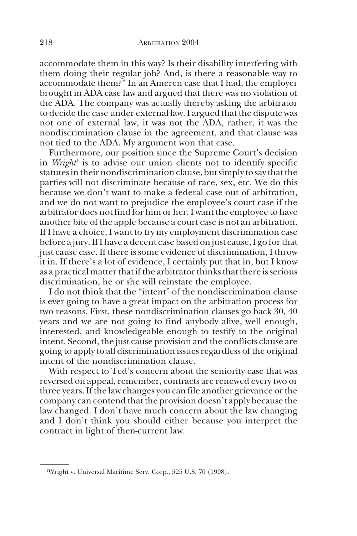accommodate them in this way? Is their disability interfering with them doing their regular job? And, is there a reasonable way to accommodate them?" In an Ameren case that I had, the employer brought in ADA case law and argued that there was no violation of the ADA. The company was actually thereby asking the arbitrator to decide the case under external law. I argued that the dispute was not one of external law, it was not the ADA, rather, it was the nondiscrimination clause in the agreement, and that clause was not tied to the ADA. My argument won that case.

Furthermore, our position since the Supreme Court's decision in *Wright*<sup>1</sup> is to advise our union clients not to identify specific statutes in their nondiscrimination clause, but simply to say that the parties will not discriminate because of race, sex, etc. We do this because we don't want to make a federal case out of arbitration, and we do not want to prejudice the employee's court case if the arbitrator does not find for him or her. I want the employee to have another bite of the apple because a court case is not an arbitration. If I have a choice, I want to try my employment discrimination case before a jury. If I have a decent case based on just cause, I go for that just cause case. If there is some evidence of discrimination, I throw it in. If there's a lot of evidence, I certainly put that in, but I know as a practical matter that if the arbitrator thinks that there is serious discrimination, he or she will reinstate the employee.

I do not think that the "intent" of the nondiscrimination clause is ever going to have a great impact on the arbitration process for two reasons. First, these nondiscrimination clauses go back 30, 40 years and we are not going to find anybody alive, well enough, interested, and knowledgeable enough to testify to the original intent. Second, the just cause provision and the conflicts clause are going to apply to all discrimination issues regardless of the original intent of the nondiscrimination clause.

With respect to Ted's concern about the seniority case that was reversed on appeal, remember, contracts are renewed every two or three years. If the law changes you can file another grievance or the company can contend that the provision doesn't apply because the law changed. I don't have much concern about the law changing and I don't think you should either because you interpret the contract in light of then-current law.

<sup>1</sup> Wright v. Universal Maritime Serv. Corp., 525 U.S. 70 (1998).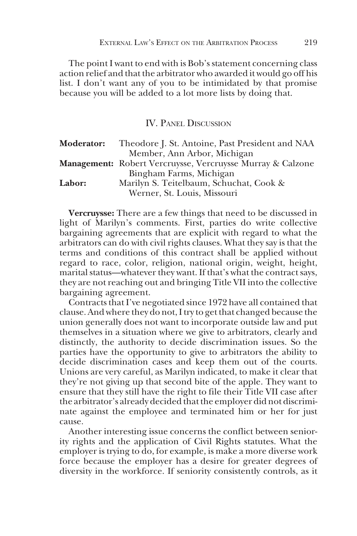The point I want to end with is Bob's statement concerning class action relief and that the arbitrator who awarded it would go off his list. I don't want any of you to be intimidated by that promise because you will be added to a lot more lists by doing that.

IV. PANEL DISCUSSION

| <b>Moderator:</b> | Theodore J. St. Antoine, Past President and NAA                   |
|-------------------|-------------------------------------------------------------------|
|                   | Member, Ann Arbor, Michigan                                       |
|                   | <b>Management:</b> Robert Vercruysse, Vercruysse Murray & Calzone |
|                   | Bingham Farms, Michigan                                           |
| <b>Labor:</b>     | Marilyn S. Teitelbaum, Schuchat, Cook &                           |
|                   | Werner, St. Louis, Missouri                                       |

**Vercruysse:** There are a few things that need to be discussed in light of Marilyn's comments. First, parties do write collective bargaining agreements that are explicit with regard to what the arbitrators can do with civil rights clauses. What they say is that the terms and conditions of this contract shall be applied without regard to race, color, religion, national origin, weight, height, marital status—whatever they want. If that's what the contract says, they are not reaching out and bringing Title VII into the collective bargaining agreement.

Contracts that I've negotiated since 1972 have all contained that clause. And where they do not, I try to get that changed because the union generally does not want to incorporate outside law and put themselves in a situation where we give to arbitrators, clearly and distinctly, the authority to decide discrimination issues. So the parties have the opportunity to give to arbitrators the ability to decide discrimination cases and keep them out of the courts. Unions are very careful, as Marilyn indicated, to make it clear that they're not giving up that second bite of the apple. They want to ensure that they still have the right to file their Title VII case after the arbitrator's already decided that the employer did not discriminate against the employee and terminated him or her for just cause.

Another interesting issue concerns the conflict between seniority rights and the application of Civil Rights statutes. What the employer is trying to do, for example, is make a more diverse work force because the employer has a desire for greater degrees of diversity in the workforce. If seniority consistently controls, as it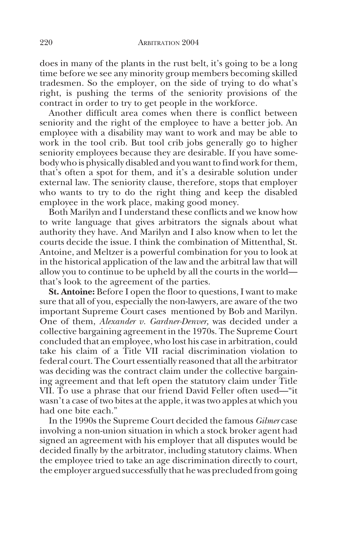does in many of the plants in the rust belt, it's going to be a long time before we see any minority group members becoming skilled tradesmen. So the employer, on the side of trying to do what's right, is pushing the terms of the seniority provisions of the contract in order to try to get people in the workforce.

Another difficult area comes when there is conflict between seniority and the right of the employee to have a better job. An employee with a disability may want to work and may be able to work in the tool crib. But tool crib jobs generally go to higher seniority employees because they are desirable. If you have somebody who is physically disabled and you want to find work for them, that's often a spot for them, and it's a desirable solution under external law. The seniority clause, therefore, stops that employer who wants to try to do the right thing and keep the disabled employee in the work place, making good money.

Both Marilyn and I understand these conflicts and we know how to write language that gives arbitrators the signals about what authority they have. And Marilyn and I also know when to let the courts decide the issue. I think the combination of Mittenthal, St. Antoine, and Meltzer is a powerful combination for you to look at in the historical application of the law and the arbitral law that will allow you to continue to be upheld by all the courts in the world that's look to the agreement of the parties.

**St. Antoine:** Before I open the floor to questions, I want to make sure that all of you, especially the non-lawyers, are aware of the two important Supreme Court cases mentioned by Bob and Marilyn. One of them, *Alexander v. Gardner-Denver,* was decided under a collective bargaining agreement in the 1970s. The Supreme Court concluded that an employee, who lost his case in arbitration, could take his claim of a Title VII racial discrimination violation to federal court. The Court essentially reasoned that all the arbitrator was deciding was the contract claim under the collective bargaining agreement and that left open the statutory claim under Title VII. To use a phrase that our friend David Feller often used—"it wasn't a case of two bites at the apple, it was two apples at which you had one bite each."

In the 1990s the Supreme Court decided the famous *Gilmer* case involving a non-union situation in which a stock broker agent had signed an agreement with his employer that all disputes would be decided finally by the arbitrator, including statutory claims. When the employee tried to take an age discrimination directly to court, the employer argued successfully that he was precluded from going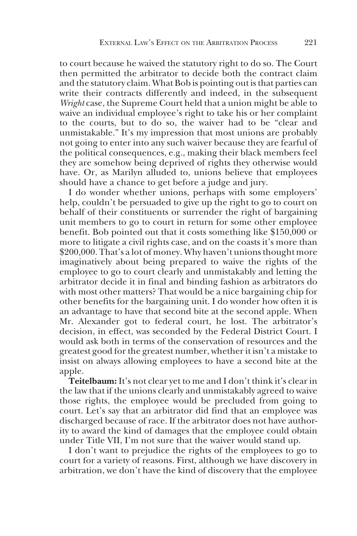to court because he waived the statutory right to do so. The Court then permitted the arbitrator to decide both the contract claim and the statutory claim. What Bob is pointing out is that parties can write their contracts differently and indeed, in the subsequent *Wright* case, the Supreme Court held that a union might be able to waive an individual employee's right to take his or her complaint to the courts, but to do so, the waiver had to be "clear and unmistakable." It's my impression that most unions are probably not going to enter into any such waiver because they are fearful of the political consequences, e.g., making their black members feel they are somehow being deprived of rights they otherwise would have. Or, as Marilyn alluded to, unions believe that employees should have a chance to get before a judge and jury.

I do wonder whether unions, perhaps with some employers' help, couldn't be persuaded to give up the right to go to court on behalf of their constituents or surrender the right of bargaining unit members to go to court in return for some other employee benefit. Bob pointed out that it costs something like \$150,000 or more to litigate a civil rights case, and on the coasts it's more than \$200,000. That's a lot of money. Why haven't unions thought more imaginatively about being prepared to waive the rights of the employee to go to court clearly and unmistakably and letting the arbitrator decide it in final and binding fashion as arbitrators do with most other matters? That would be a nice bargaining chip for other benefits for the bargaining unit. I do wonder how often it is an advantage to have that second bite at the second apple. When Mr. Alexander got to federal court, he lost. The arbitrator's decision, in effect, was seconded by the Federal District Court. I would ask both in terms of the conservation of resources and the greatest good for the greatest number, whether it isn't a mistake to insist on always allowing employees to have a second bite at the apple.

**Teitelbaum:** It's not clear yet to me and I don't think it's clear in the law that if the unions clearly and unmistakably agreed to waive those rights, the employee would be precluded from going to court. Let's say that an arbitrator did find that an employee was discharged because of race. If the arbitrator does not have authority to award the kind of damages that the employee could obtain under Title VII, I'm not sure that the waiver would stand up.

I don't want to prejudice the rights of the employees to go to court for a variety of reasons. First, although we have discovery in arbitration, we don't have the kind of discovery that the employee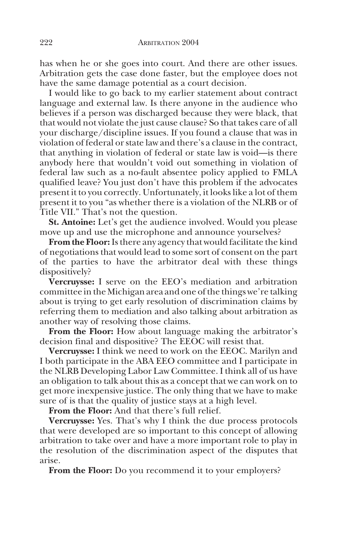has when he or she goes into court. And there are other issues. Arbitration gets the case done faster, but the employee does not have the same damage potential as a court decision.

I would like to go back to my earlier statement about contract language and external law. Is there anyone in the audience who believes if a person was discharged because they were black, that that would not violate the just cause clause? So that takes care of all your discharge/discipline issues. If you found a clause that was in violation of federal or state law and there's a clause in the contract, that anything in violation of federal or state law is void—is there anybody here that wouldn't void out something in violation of federal law such as a no-fault absentee policy applied to FMLA qualified leave? You just don't have this problem if the advocates present it to you correctly. Unfortunately, it looks like a lot of them present it to you "as whether there is a violation of the NLRB or of Title VII." That's not the question.

**St. Antoine:** Let's get the audience involved. Would you please move up and use the microphone and announce yourselves?

**From the Floor:** Is there any agency that would facilitate the kind of negotiations that would lead to some sort of consent on the part of the parties to have the arbitrator deal with these things dispositively?

**Vercruysse:** I serve on the EEO's mediation and arbitration committee in the Michigan area and one of the things we're talking about is trying to get early resolution of discrimination claims by referring them to mediation and also talking about arbitration as another way of resolving those claims.

**From the Floor:** How about language making the arbitrator's decision final and dispositive? The EEOC will resist that.

**Vercruysse:** I think we need to work on the EEOC. Marilyn and I both participate in the ABA EEO committee and I participate in the NLRB Developing Labor Law Committee. I think all of us have an obligation to talk about this as a concept that we can work on to get more inexpensive justice. The only thing that we have to make sure of is that the quality of justice stays at a high level.

**From the Floor:** And that there's full relief.

**Vercruysse:** Yes. That's why I think the due process protocols that were developed are so important to this concept of allowing arbitration to take over and have a more important role to play in the resolution of the discrimination aspect of the disputes that arise.

**From the Floor:** Do you recommend it to your employers?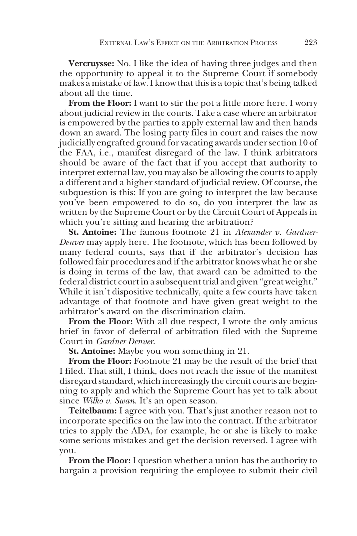**Vercruysse:** No. I like the idea of having three judges and then the opportunity to appeal it to the Supreme Court if somebody makes a mistake of law. I know that this is a topic that's being talked about all the time.

**From the Floor:** I want to stir the pot a little more here. I worry about judicial review in the courts. Take a case where an arbitrator is empowered by the parties to apply external law and then hands down an award. The losing party files in court and raises the now judicially engrafted ground for vacating awards under section 10 of the FAA, i.e., manifest disregard of the law. I think arbitrators should be aware of the fact that if you accept that authority to interpret external law, you may also be allowing the courts to apply a different and a higher standard of judicial review. Of course, the subquestion is this: If you are going to interpret the law because you've been empowered to do so, do you interpret the law as written by the Supreme Court or by the Circuit Court of Appeals in which you're sitting and hearing the arbitration?

**St. Antoine:** The famous footnote 21 in *Alexander v. Gardner-Denver* may apply here. The footnote, which has been followed by many federal courts, says that if the arbitrator's decision has followed fair procedures and if the arbitrator knows what he or she is doing in terms of the law, that award can be admitted to the federal district court in a subsequent trial and given "great weight." While it isn't dispositive technically, quite a few courts have taken advantage of that footnote and have given great weight to the arbitrator's award on the discrimination claim.

**From the Floor:** With all due respect, I wrote the only amicus brief in favor of deferral of arbitration filed with the Supreme Court in *Gardner Denver*.

**St. Antoine:** Maybe you won something in 21.

**From the Floor:** Footnote 21 may be the result of the brief that I filed. That still, I think, does not reach the issue of the manifest disregard standard, which increasingly the circuit courts are beginning to apply and which the Supreme Court has yet to talk about since *Wilko v. Swan*. It's an open season.

**Teitelbaum:** I agree with you. That's just another reason not to incorporate specifics on the law into the contract. If the arbitrator tries to apply the ADA, for example, he or she is likely to make some serious mistakes and get the decision reversed. I agree with you.

**From the Floor:** I question whether a union has the authority to bargain a provision requiring the employee to submit their civil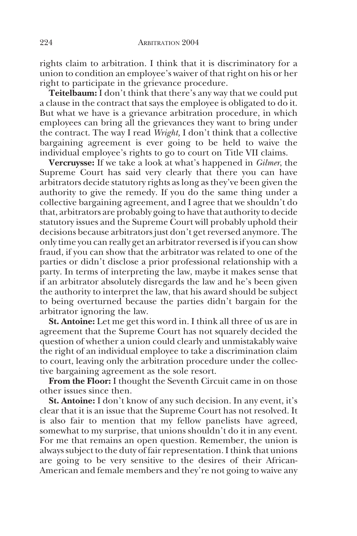rights claim to arbitration. I think that it is discriminatory for a union to condition an employee's waiver of that right on his or her right to participate in the grievance procedure.

**Teitelbaum:** I don't think that there's any way that we could put a clause in the contract that says the employee is obligated to do it. But what we have is a grievance arbitration procedure, in which employees can bring all the grievances they want to bring under the contract. The way I read *Wright,* I don't think that a collective bargaining agreement is ever going to be held to waive the individual employee's rights to go to court on Title VII claims.

**Vercruysse:** If we take a look at what's happened in *Gilmer*, the Supreme Court has said very clearly that there you can have arbitrators decide statutory rights as long as they've been given the authority to give the remedy. If you do the same thing under a collective bargaining agreement, and I agree that we shouldn't do that, arbitrators are probably going to have that authority to decide statutory issues and the Supreme Court will probably uphold their decisions because arbitrators just don't get reversed anymore. The only time you can really get an arbitrator reversed is if you can show fraud, if you can show that the arbitrator was related to one of the parties or didn't disclose a prior professional relationship with a party. In terms of interpreting the law, maybe it makes sense that if an arbitrator absolutely disregards the law and he's been given the authority to interpret the law, that his award should be subject to being overturned because the parties didn't bargain for the arbitrator ignoring the law.

**St. Antoine:** Let me get this word in. I think all three of us are in agreement that the Supreme Court has not squarely decided the question of whether a union could clearly and unmistakably waive the right of an individual employee to take a discrimination claim to court, leaving only the arbitration procedure under the collective bargaining agreement as the sole resort.

**From the Floor:** I thought the Seventh Circuit came in on those other issues since then.

**St. Antoine:** I don't know of any such decision. In any event, it's clear that it is an issue that the Supreme Court has not resolved. It is also fair to mention that my fellow panelists have agreed, somewhat to my surprise, that unions shouldn't do it in any event. For me that remains an open question. Remember, the union is always subject to the duty of fair representation. I think that unions are going to be very sensitive to the desires of their African-American and female members and they're not going to waive any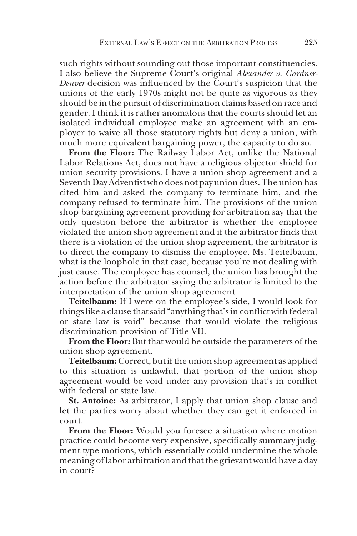such rights without sounding out those important constituencies. I also believe the Supreme Court's original *Alexander v. Gardner-Denver* decision was influenced by the Court's suspicion that the unions of the early 1970s might not be quite as vigorous as they should be in the pursuit of discrimination claims based on race and gender. I think it is rather anomalous that the courts should let an isolated individual employee make an agreement with an employer to waive all those statutory rights but deny a union, with much more equivalent bargaining power, the capacity to do so.

**From the Floor:** The Railway Labor Act, unlike the National Labor Relations Act, does not have a religious objector shield for union security provisions. I have a union shop agreement and a Seventh Day Adventist who does not pay union dues. The union has cited him and asked the company to terminate him, and the company refused to terminate him. The provisions of the union shop bargaining agreement providing for arbitration say that the only question before the arbitrator is whether the employee violated the union shop agreement and if the arbitrator finds that there is a violation of the union shop agreement, the arbitrator is to direct the company to dismiss the employee. Ms. Teitelbaum, what is the loophole in that case, because you're not dealing with just cause. The employee has counsel, the union has brought the action before the arbitrator saying the arbitrator is limited to the interpretation of the union shop agreement

**Teitelbaum:** If I were on the employee's side, I would look for things like a clause that said "anything that's in conflict with federal or state law is void" because that would violate the religious discrimination provision of Title VII.

**From the Floor:** But that would be outside the parameters of the union shop agreement.

**Teitelbaum:** Correct, but if the union shop agreement as applied to this situation is unlawful, that portion of the union shop agreement would be void under any provision that's in conflict with federal or state law.

**St. Antoine:** As arbitrator, I apply that union shop clause and let the parties worry about whether they can get it enforced in court.

**From the Floor:** Would you foresee a situation where motion practice could become very expensive, specifically summary judgment type motions, which essentially could undermine the whole meaning of labor arbitration and that the grievant would have a day in court?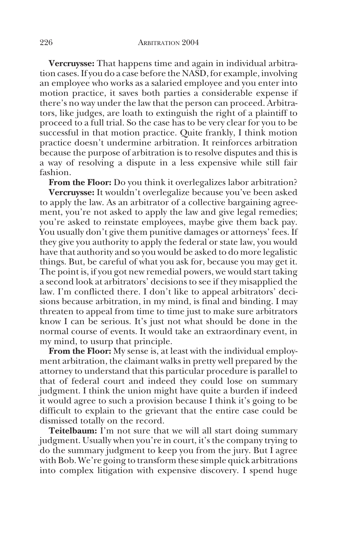**Vercruysse:** That happens time and again in individual arbitration cases. If you do a case before the NASD, for example, involving an employee who works as a salaried employee and you enter into motion practice, it saves both parties a considerable expense if there's no way under the law that the person can proceed. Arbitrators, like judges, are loath to extinguish the right of a plaintiff to proceed to a full trial. So the case has to be very clear for you to be successful in that motion practice. Quite frankly, I think motion practice doesn't undermine arbitration. It reinforces arbitration because the purpose of arbitration is to resolve disputes and this is a way of resolving a dispute in a less expensive while still fair fashion.

**From the Floor:** Do you think it overlegalizes labor arbitration?

**Vercruysse:** It wouldn't overlegalize because you've been asked to apply the law. As an arbitrator of a collective bargaining agreement, you're not asked to apply the law and give legal remedies; you're asked to reinstate employees, maybe give them back pay. You usually don't give them punitive damages or attorneys' fees. If they give you authority to apply the federal or state law, you would have that authority and so you would be asked to do more legalistic things. But, be careful of what you ask for, because you may get it. The point is, if you got new remedial powers, we would start taking a second look at arbitrators' decisions to see if they misapplied the law. I'm conflicted there. I don't like to appeal arbitrators' decisions because arbitration, in my mind, is final and binding. I may threaten to appeal from time to time just to make sure arbitrators know I can be serious. It's just not what should be done in the normal course of events. It would take an extraordinary event, in my mind, to usurp that principle.

**From the Floor:** My sense is, at least with the individual employment arbitration, the claimant walks in pretty well prepared by the attorney to understand that this particular procedure is parallel to that of federal court and indeed they could lose on summary judgment. I think the union might have quite a burden if indeed it would agree to such a provision because I think it's going to be difficult to explain to the grievant that the entire case could be dismissed totally on the record.

**Teitelbaum:** I'm not sure that we will all start doing summary judgment. Usually when you're in court, it's the company trying to do the summary judgment to keep you from the jury. But I agree with Bob. We're going to transform these simple quick arbitrations into complex litigation with expensive discovery. I spend huge